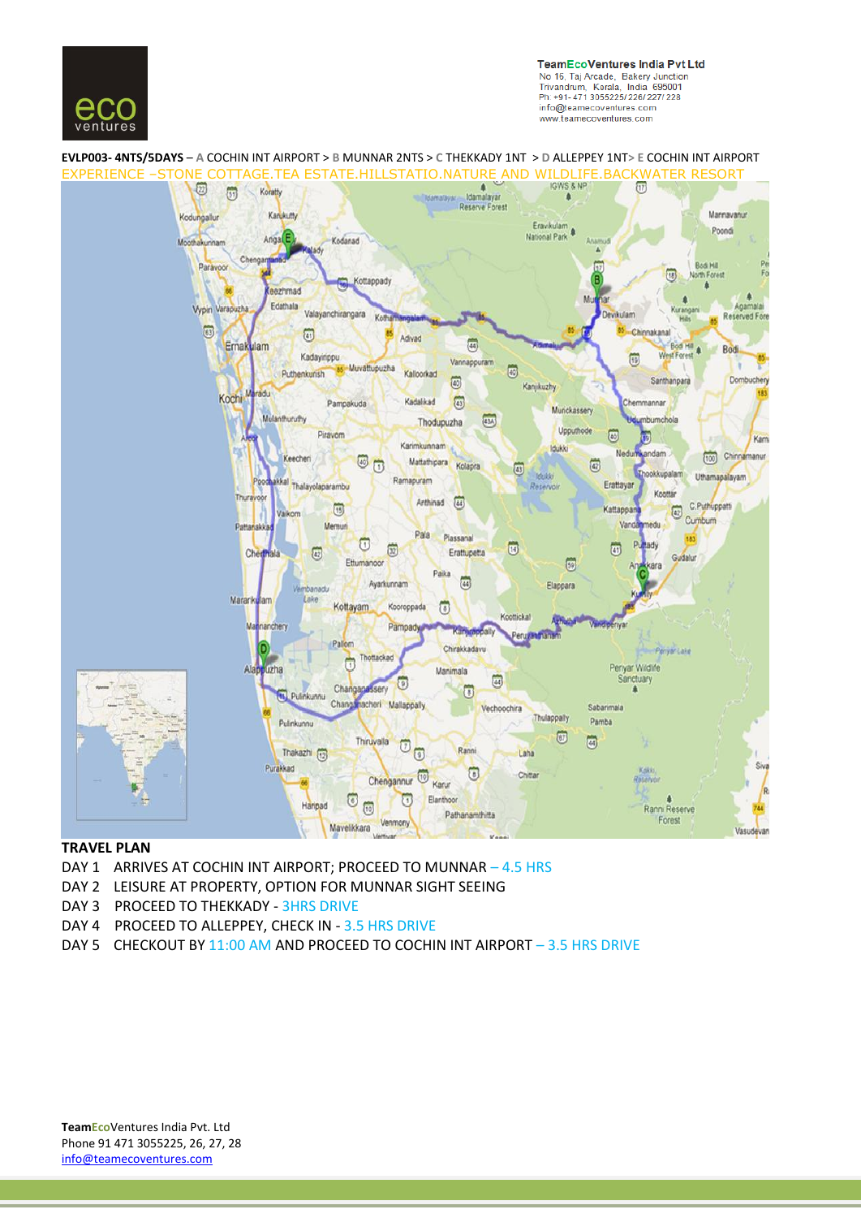

**TeamEcoVentures India Pvt Ltd** No 16, Taj Arcade, Bakery Junction<br>Trivandrum, Kerala, India 695001 Ph: +91-471 3055225/226/227/228 info@teamecoventures.com www.teamecoventures.com

## **EVLP003- 4NTS/5DAYS** – **A** COCHIN INT AIRPORT > **B** MUNNAR 2NTS > **C** THEKKADY 1NT > **D** ALLEPPEY 1NT**> E** COCHIN INT AIRPORT



#### **TRAVEL PLAN**

- DAY 1 ARRIVES AT COCHIN INT AIRPORT; PROCEED TO MUNNAR 4.5 HRS
- DAY 2 LEISURE AT PROPERTY, OPTION FOR MUNNAR SIGHT SEEING
- DAY 3 PROCEED TO THEKKADY 3HRS DRIVE
- DAY 4 PROCEED TO ALLEPPEY, CHECK IN 3.5 HRS DRIVE
- DAY 5 CHECKOUT BY 11:00 AM AND PROCEED TO COCHIN INT AIRPORT 3.5 HRS DRIVE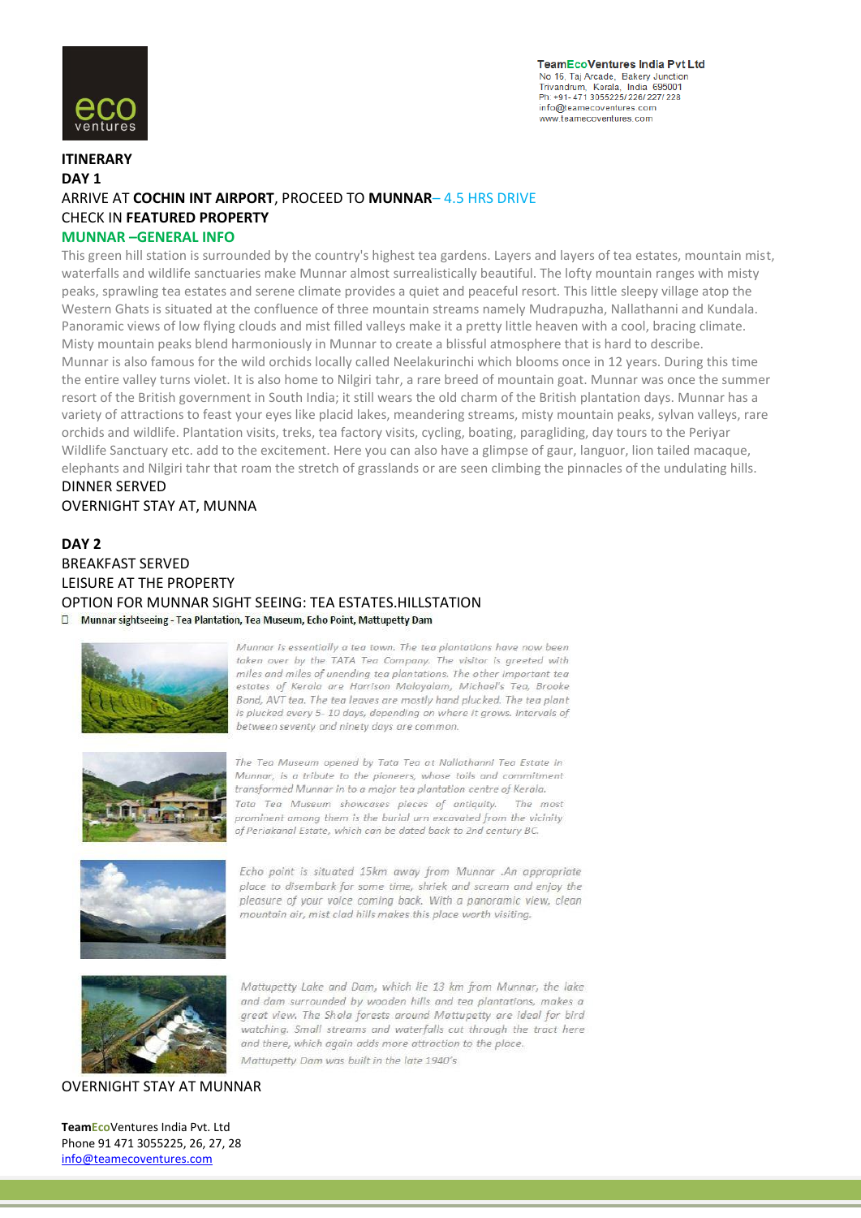

**TeamEcoVentures India Pvt Ltd** No 16, Taj Arcade, Bakery Junction<br>Trivandrum, Kerala, India 695001 Ph: +91-471 3055225/226/227/228 info@teamecoventures.com www.teamecoventures.com

### **ITINERARY DAY 1** ARRIVE AT **COCHIN INT AIRPORT**, PROCEED TO **MUNNAR**– 4.5 HRS DRIVE CHECK IN **FEATURED PROPERTY MUNNAR –GENERAL INFO**

This green hill station is surrounded by the country's highest tea gardens. Layers and layers of tea estates, mountain mist, waterfalls and wildlife sanctuaries make Munnar almost surrealistically beautiful. The lofty mountain ranges with misty peaks, sprawling tea estates and serene climate provides a quiet and peaceful resort. This little sleepy village atop the Western Ghats is situated at the confluence of three mountain streams namely Mudrapuzha, Nallathanni and Kundala. Panoramic views of low flying clouds and mist filled valleys make it a pretty little heaven with a cool, bracing climate. Misty mountain peaks blend harmoniously in Munnar to create a blissful atmosphere that is hard to describe. Munnar is also famous for the wild orchids locally called Neelakurinchi which blooms once in 12 years. During this time the entire valley turns violet. It is also home to Nilgiri tahr, a rare breed of mountain goat. Munnar was once the summer resort of the British government in South India; it still wears the old charm of the British plantation days. Munnar has a variety of attractions to feast your eyes like placid lakes, meandering streams, misty mountain peaks, sylvan valleys, rare orchids and wildlife. Plantation visits, treks, tea factory visits, cycling, boating, paragliding, day tours to the Periyar Wildlife Sanctuary etc. add to the excitement. Here you can also have a glimpse of gaur, languor, lion tailed macaque, elephants and Nilgiri tahr that roam the stretch of grasslands or are seen climbing the pinnacles of the undulating hills. DINNER SERVED

OVERNIGHT STAY AT, MUNNA

# **DAY 2** BREAKFAST SERVED LEISURE AT THE PROPERTY OPTION FOR MUNNAR SIGHT SEEING: TEA ESTATES.HILLSTATION

D Munnar sightseeing - Tea Plantation, Tea Museum, Echo Point, Mattupetty Dam



Munnar is essentially a tea town. The tea plantations have now been taken over by the TATA Tea Company. The visitor is greeted with miles and miles of unending tea plantations. The other important tea estates of Kerala are Harrison Malayalam, Michael's Tea, Brooke Bond, AVT tea. The tea leaves are mostly hand plucked. The tea plant is plucked every 5-10 days, depending on where it grows, Intervals of between seventy and ninety days are common.



The Tea Museum opened by Tata Tea at Nallathanni Tea Estate in Munnar, is a tribute to the pioneers, whose toils and commitment transformed Munnar in to a major tea plantation centre of Kerala. Tata Tea Museum showcases pleces of antiquity. The most prominent among them is the burial urn excavated from the vicinity of Periakanal Estate, which can be dated back to 2nd century BC.



Echo point is situated 15km away from Munnar .An appropriate place to disembark for some time, shriek and scream and enjoy the pleasure of your voice coming back. With a panoramic view, clean mountain air, mist clad hills makes this place worth visiting.



Mattupetty Lake and Dam, which lie 13 km from Munnar, the lake and dam surrounded by wooden hills and tea plantations, makes a great view. The Shola forests around Mattupetty are ideal for bird watching. Small streams and waterfalls cut through the tract here and there, which again adds more attraction to the place. Mattupetty Dam was built in the late 1940's

#### OVERNIGHT STAY AT MUNNAR

**TeamEco**Ventures India Pvt. Ltd Phone 91 471 3055225, 26, 27, 28 info@teamecoventures.com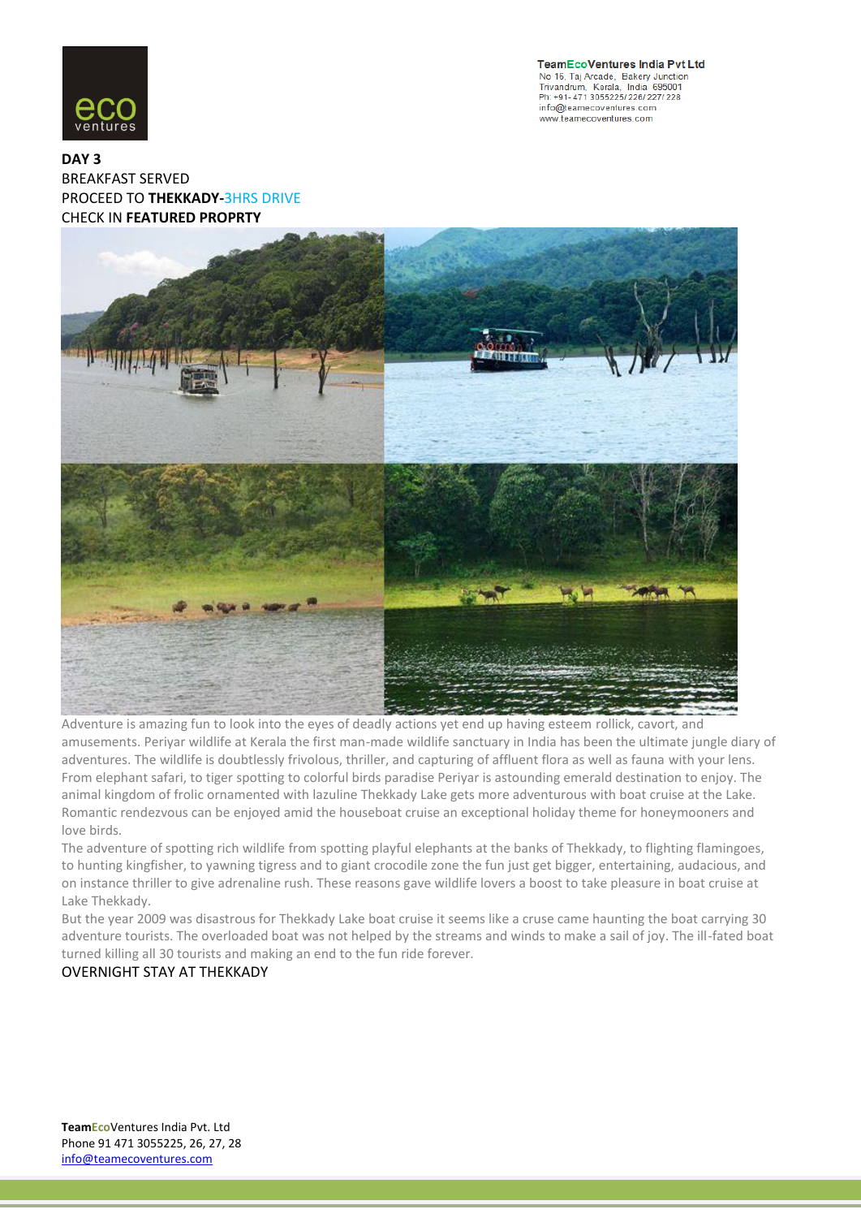

**TeamEcoVentures India Pvt Ltd** No 16, Taj Arcade, Bakery Junction<br>Trivandrum, Kerala, India 695001 Ph: +91-471 3055225/226/227/228 info@teamecoventures.com www.teamecoventures.com

### **DAY 3** BREAKFAST SERVED PROCEED TO **THEKKADY-**3HRS DRIVE CHECK IN **FEATURED PROPRTY**



Adventure is amazing fun to look into the eyes of deadly actions yet end up having esteem rollick, cavort, and amusements. Periyar wildlife at Kerala the first man-made wildlife sanctuary in India has been the ultimate jungle diary of adventures. The wildlife is doubtlessly frivolous, thriller, and capturing of affluent flora as well as fauna with your lens. From elephant safari, to tiger spotting to colorful birds paradise Periyar is astounding emerald destination to enjoy. The animal kingdom of frolic ornamented with lazuline Thekkady Lake gets more adventurous with boat cruise at the Lake. Romantic rendezvous can be enjoyed amid the houseboat cruise an exceptional holiday theme for honeymooners and love birds.

The adventure of spotting rich wildlife from spotting playful elephants at the banks of Thekkady, to flighting flamingoes, to hunting kingfisher, to yawning tigress and to giant crocodile zone the fun just get bigger, entertaining, audacious, and on instance thriller to give adrenaline rush. These reasons gave wildlife lovers a boost to take pleasure in boat cruise at Lake Thekkady.

But the year 2009 was disastrous for Thekkady Lake boat cruise it seems like a cruse came haunting the boat carrying 30 adventure tourists. The overloaded boat was not helped by the streams and winds to make a sail of joy. The ill-fated boat turned killing all 30 tourists and making an end to the fun ride forever.

### OVERNIGHT STAY AT THEKKADY